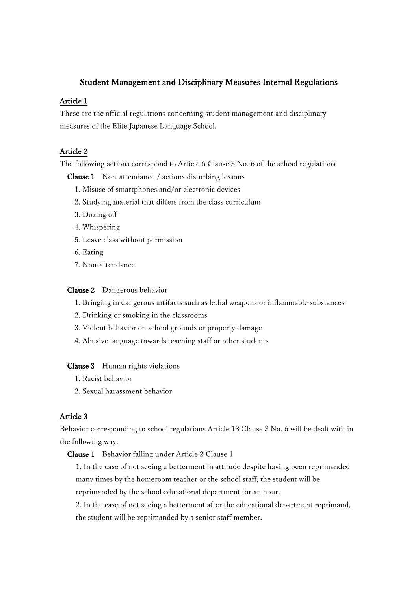# Student Management and Disciplinary Measures Internal Regulations

## Article 1

These are the official regulations concerning student management and disciplinary measures of the Elite Japanese Language School.

## Article 2

The following actions correspond to Article 6 Clause 3 No. 6 of the school regulations

Clause 1 Non-attendance / actions disturbing lessons

- 1. Misuse of smartphones and/or electronic devices
- 2. Studying material that differs from the class curriculum
- 3. Dozing off
- 4. Whispering
- 5. Leave class without permission
- 6. Eating
- 7. Non-attendance

### Clause 2 Dangerous behavior

- 1. Bringing in dangerous artifacts such as lethal weapons or inflammable substances
- 2. Drinking or smoking in the classrooms
- 3. Violent behavior on school grounds or property damage
- 4. Abusive language towards teaching staff or other students

Clause 3 Human rights violations

- 1. Racist behavior
- 2. Sexual harassment behavior

### Article 3

Behavior corresponding to school regulations Article 18 Clause 3 No. 6 will be dealt with in the following way:

Clause 1 Behavior falling under Article 2 Clause 1

1. In the case of not seeing a betterment in attitude despite having been reprimanded many times by the homeroom teacher or the school staff, the student will be reprimanded by the school educational department for an hour.

2. In the case of not seeing a betterment after the educational department reprimand, the student will be reprimanded by a senior staff member.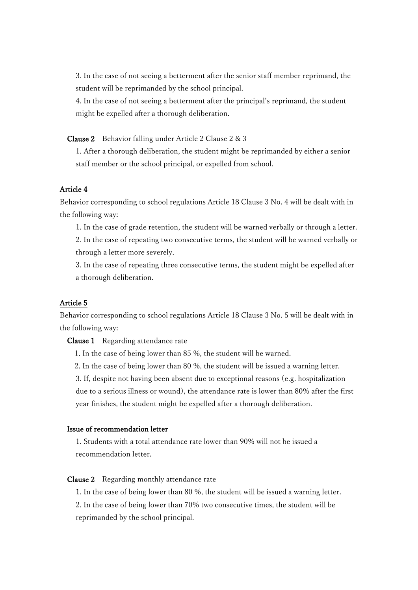3. In the case of not seeing a betterment after the senior staff member reprimand, the student will be reprimanded by the school principal.

4. In the case of not seeing a betterment after the principal's reprimand, the student might be expelled after a thorough deliberation.

Clause 2 Behavior falling under Article 2 Clause 2 & 3

1. After a thorough deliberation, the student might be reprimanded by either a senior staff member or the school principal, or expelled from school.

#### Article 4

Behavior corresponding to school regulations Article 18 Clause 3 No. 4 will be dealt with in the following way:

1. In the case of grade retention, the student will be warned verbally or through a letter.

2. In the case of repeating two consecutive terms, the student will be warned verbally or through a letter more severely.

3. In the case of repeating three consecutive terms, the student might be expelled after a thorough deliberation.

### Article 5

Behavior corresponding to school regulations Article 18 Clause 3 No. 5 will be dealt with in the following way:

Clause 1 Regarding attendance rate

1. In the case of being lower than 85 %, the student will be warned.

2. In the case of being lower than 80 %, the student will be issued a warning letter.

3. If, despite not having been absent due to exceptional reasons (e.g. hospitalization due to a serious illness or wound), the attendance rate is lower than 80% after the first year finishes, the student might be expelled after a thorough deliberation.

#### Issue of recommendation letter

1. Students with a total attendance rate lower than 90% will not be issued a recommendation letter.

#### Clause 2 Regarding monthly attendance rate

1. In the case of being lower than 80 %, the student will be issued a warning letter. 2. In the case of being lower than 70% two consecutive times, the student will be reprimanded by the school principal.